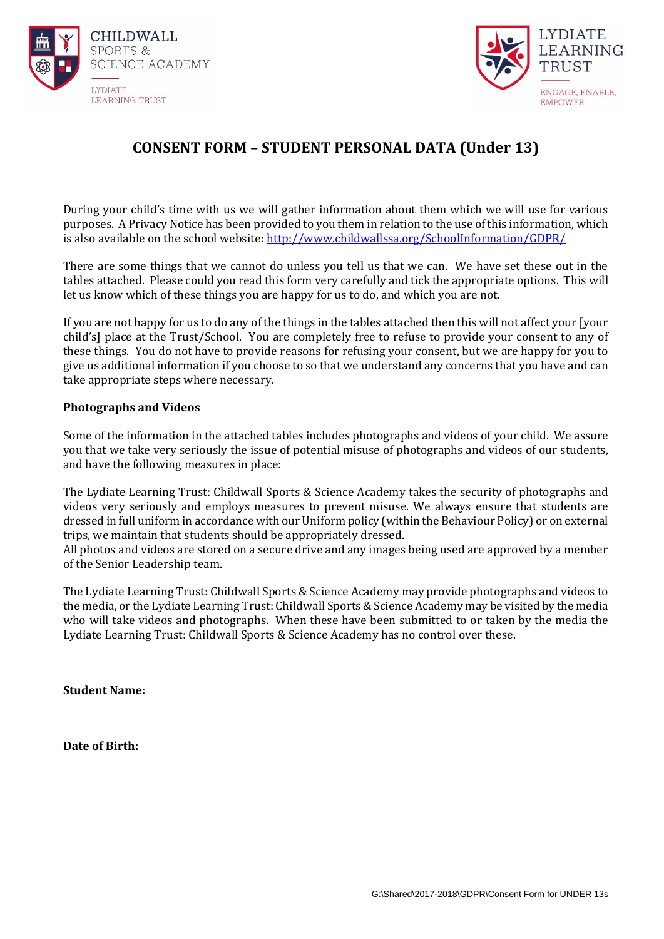



# **CONSENT FORM – STUDENT PERSONAL DATA (Under 13)**

During your child's time with us we will gather information about them which we will use for various purposes. A Privacy Notice has been provided to you them in relation to the use of this information, which is also available on the school website[: http://www.childwallssa.org/SchoolInformation/GDPR/](http://www.childwallssa.org/SchoolInformation/GDPR/)

There are some things that we cannot do unless you tell us that we can. We have set these out in the tables attached. Please could you read this form very carefully and tick the appropriate options. This will let us know which of these things you are happy for us to do, and which you are not.

If you are not happy for us to do any of the things in the tables attached then this will not affect your [your child's] place at the Trust/School. You are completely free to refuse to provide your consent to any of these things. You do not have to provide reasons for refusing your consent, but we are happy for you to give us additional information if you choose to so that we understand any concerns that you have and can take appropriate steps where necessary.

#### **Photographs and Videos**

Some of the information in the attached tables includes photographs and videos of your child. We assure you that we take very seriously the issue of potential misuse of photographs and videos of our students, and have the following measures in place:

The Lydiate Learning Trust: Childwall Sports & Science Academy takes the security of photographs and videos very seriously and employs measures to prevent misuse. We always ensure that students are dressed in full uniform in accordance with our Uniform policy (within the Behaviour Policy) or on external trips, we maintain that students should be appropriately dressed.

All photos and videos are stored on a secure drive and any images being used are approved by a member of the Senior Leadership team.

The Lydiate Learning Trust: Childwall Sports & Science Academy may provide photographs and videos to the media, or the Lydiate Learning Trust: Childwall Sports & Science Academy may be visited by the media who will take videos and photographs. When these have been submitted to or taken by the media the Lydiate Learning Trust: Childwall Sports & Science Academy has no control over these.

**Student Name:**

**Date of Birth:**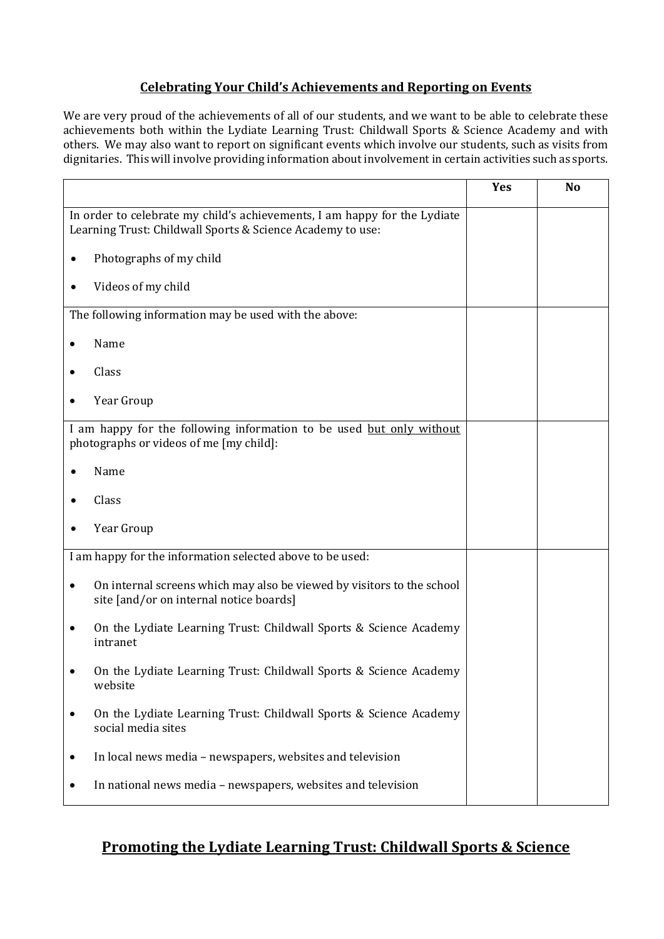## **Celebrating Your Child's Achievements and Reporting on Events**

We are very proud of the achievements of all of our students, and we want to be able to celebrate these achievements both within the Lydiate Learning Trust: Childwall Sports & Science Academy and with others. We may also want to report on significant events which involve our students, such as visits from dignitaries. This will involve providing information about involvement in certain activities such as sports.

|                                                                                                                                         | Yes | N <sub>o</sub> |
|-----------------------------------------------------------------------------------------------------------------------------------------|-----|----------------|
| In order to celebrate my child's achievements, I am happy for the Lydiate<br>Learning Trust: Childwall Sports & Science Academy to use: |     |                |
| Photographs of my child                                                                                                                 |     |                |
| Videos of my child                                                                                                                      |     |                |
| The following information may be used with the above:                                                                                   |     |                |
| Name                                                                                                                                    |     |                |
| Class                                                                                                                                   |     |                |
| Year Group                                                                                                                              |     |                |
| I am happy for the following information to be used but only without<br>photographs or videos of me [my child]:                         |     |                |
| Name                                                                                                                                    |     |                |
| Class                                                                                                                                   |     |                |
| Year Group                                                                                                                              |     |                |
| I am happy for the information selected above to be used:                                                                               |     |                |
| On internal screens which may also be viewed by visitors to the school<br>$\bullet$<br>site [and/or on internal notice boards]          |     |                |
| On the Lydiate Learning Trust: Childwall Sports & Science Academy<br>٠<br>intranet                                                      |     |                |
| On the Lydiate Learning Trust: Childwall Sports & Science Academy<br>website                                                            |     |                |
| On the Lydiate Learning Trust: Childwall Sports & Science Academy<br>social media sites                                                 |     |                |
| In local news media - newspapers, websites and television<br>٠                                                                          |     |                |
| In national news media - newspapers, websites and television                                                                            |     |                |

## **Promoting the Lydiate Learning Trust: Childwall Sports & Science**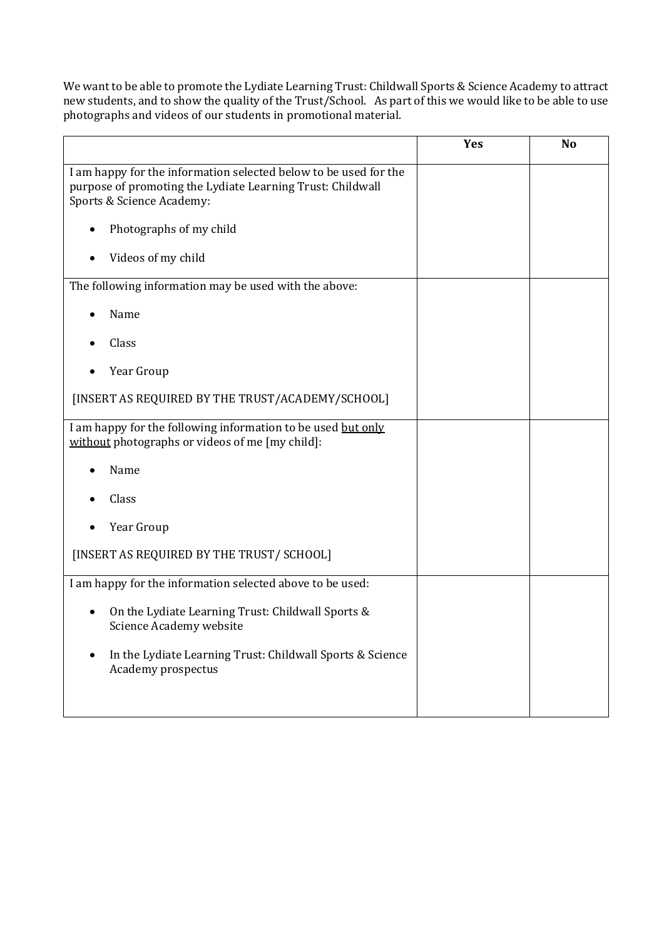We want to be able to promote the Lydiate Learning Trust: Childwall Sports & Science Academy to attract new students, and to show the quality of the Trust/School. As part of this we would like to be able to use photographs and videos of our students in promotional material.

|                                                                                                                                                             | Yes | <b>No</b> |
|-------------------------------------------------------------------------------------------------------------------------------------------------------------|-----|-----------|
| I am happy for the information selected below to be used for the<br>purpose of promoting the Lydiate Learning Trust: Childwall<br>Sports & Science Academy: |     |           |
| Photographs of my child                                                                                                                                     |     |           |
| Videos of my child                                                                                                                                          |     |           |
| The following information may be used with the above:                                                                                                       |     |           |
| Name                                                                                                                                                        |     |           |
| Class                                                                                                                                                       |     |           |
| Year Group                                                                                                                                                  |     |           |
| [INSERT AS REQUIRED BY THE TRUST/ACADEMY/SCHOOL]                                                                                                            |     |           |
| I am happy for the following information to be used but only<br>without photographs or videos of me [my child]:                                             |     |           |
| Name                                                                                                                                                        |     |           |
| Class                                                                                                                                                       |     |           |
| Year Group                                                                                                                                                  |     |           |
| [INSERT AS REQUIRED BY THE TRUST/ SCHOOL]                                                                                                                   |     |           |
| I am happy for the information selected above to be used:                                                                                                   |     |           |
| On the Lydiate Learning Trust: Childwall Sports &<br>Science Academy website                                                                                |     |           |
| In the Lydiate Learning Trust: Childwall Sports & Science<br>Academy prospectus                                                                             |     |           |
|                                                                                                                                                             |     |           |